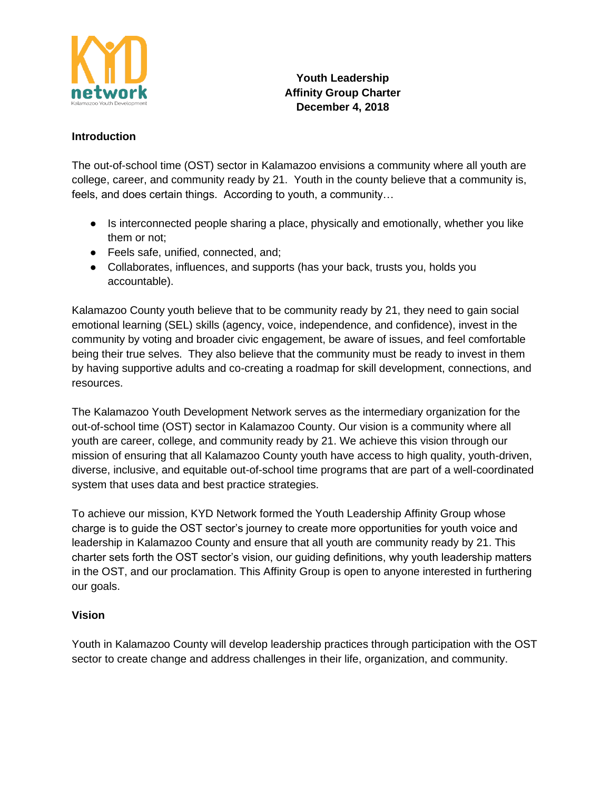

## **Youth Leadership Affinity Group Charter December 4, 2018**

## **Introduction**

The out-of-school time (OST) sector in Kalamazoo envisions a community where all youth are college, career, and community ready by 21. Youth in the county believe that a community is, feels, and does certain things. According to youth, a community…

- Is interconnected people sharing a place, physically and emotionally, whether you like them or not;
- Feels safe, unified, connected, and;
- Collaborates, influences, and supports (has your back, trusts you, holds you accountable).

Kalamazoo County youth believe that to be community ready by 21, they need to gain social emotional learning (SEL) skills (agency, voice, independence, and confidence), invest in the community by voting and broader civic engagement, be aware of issues, and feel comfortable being their true selves. They also believe that the community must be ready to invest in them by having supportive adults and co-creating a roadmap for skill development, connections, and resources.

The Kalamazoo Youth Development Network serves as the intermediary organization for the out-of-school time (OST) sector in Kalamazoo County. Our vision is a community where all youth are career, college, and community ready by 21. We achieve this vision through our mission of ensuring that all Kalamazoo County youth have access to high quality, youth-driven, diverse, inclusive, and equitable out-of-school time programs that are part of a well-coordinated system that uses data and best practice strategies.

To achieve our mission, KYD Network formed the Youth Leadership Affinity Group whose charge is to guide the OST sector's journey to create more opportunities for youth voice and leadership in Kalamazoo County and ensure that all youth are community ready by 21. This charter sets forth the OST sector's vision, our guiding definitions, why youth leadership matters in the OST, and our proclamation. This Affinity Group is open to anyone interested in furthering our goals.

## **Vision**

Youth in Kalamazoo County will develop leadership practices through participation with the OST sector to create change and address challenges in their life, organization, and community.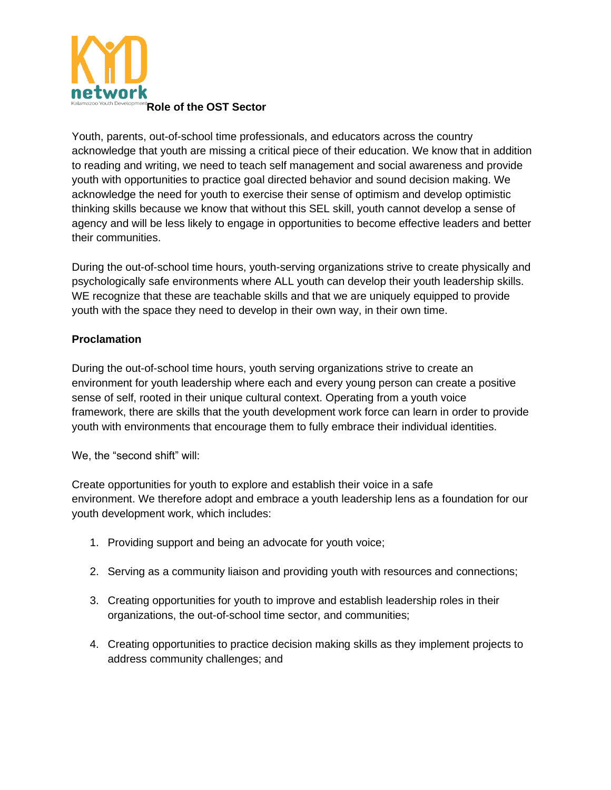

Youth, parents, out-of-school time professionals, and educators across the country acknowledge that youth are missing a critical piece of their education. We know that in addition to reading and writing, we need to teach self management and social awareness and provide youth with opportunities to practice goal directed behavior and sound decision making. We acknowledge the need for youth to exercise their sense of optimism and develop optimistic thinking skills because we know that without this SEL skill, youth cannot develop a sense of agency and will be less likely to engage in opportunities to become effective leaders and better their communities.

During the out-of-school time hours, youth-serving organizations strive to create physically and psychologically safe environments where ALL youth can develop their youth leadership skills. WE recognize that these are teachable skills and that we are uniquely equipped to provide youth with the space they need to develop in their own way, in their own time.

## **Proclamation**

During the out-of-school time hours, youth serving organizations strive to create an environment for youth leadership where each and every young person can create a positive sense of self, rooted in their unique cultural context. Operating from a youth voice framework, there are skills that the youth development work force can learn in order to provide youth with environments that encourage them to fully embrace their individual identities.

We, the "second shift" will:

Create opportunities for youth to explore and establish their voice in a safe environment. We therefore adopt and embrace a youth leadership lens as a foundation for our youth development work, which includes:

- 1. Providing support and being an advocate for youth voice;
- 2. Serving as a community liaison and providing youth with resources and connections;
- 3. Creating opportunities for youth to improve and establish leadership roles in their organizations, the out-of-school time sector, and communities;
- 4. Creating opportunities to practice decision making skills as they implement projects to address community challenges; and